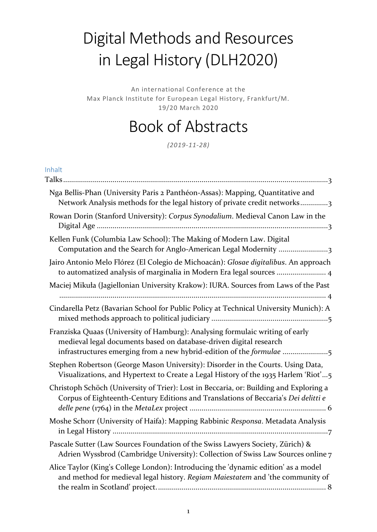# Digital Methods and Resources in Legal History (DLH2020)

An international Conference at the Max Planck Institute for European Legal History, Frankfurt/M. 19/20 March 2020

# Book of Abstracts

*(2019-11-28)*

#### Inhalt

| Nga Bellis-Phan (University Paris 2 Panthéon-Assas): Mapping, Quantitative and<br>Network Analysis methods for the legal history of private credit networks3                                                                |
|-----------------------------------------------------------------------------------------------------------------------------------------------------------------------------------------------------------------------------|
| Rowan Dorin (Stanford University): Corpus Synodalium. Medieval Canon Law in the                                                                                                                                             |
| Kellen Funk (Columbia Law School): The Making of Modern Law. Digital<br>Computation and the Search for Anglo-American Legal Modernity 3                                                                                     |
| Jairo Antonio Melo Flórez (El Colegio de Michoacán): Glosae digitalibus. An approach<br>to automatized analysis of marginalia in Modern Era legal sources  4                                                                |
| Maciej Mikuła (Jagiellonian University Krakow): IURA. Sources from Laws of the Past                                                                                                                                         |
| Cindarella Petz (Bavarian School for Public Policy at Technical University Munich): A                                                                                                                                       |
| Franziska Quaas (University of Hamburg): Analysing formulaic writing of early<br>medieval legal documents based on database-driven digital research<br>infrastructures emerging from a new hybrid-edition of the formulae 5 |
| Stephen Robertson (George Mason University): Disorder in the Courts. Using Data,<br>Visualizations, and Hypertext to Create a Legal History of the 1935 Harlem 'Riot'5                                                      |
| Christoph Schöch (University of Trier): Lost in Beccaria, or: Building and Exploring a<br>Corpus of Eighteenth-Century Editions and Translations of Beccaria's Dei delitti e                                                |
| Moshe Schorr (University of Haifa): Mapping Rabbinic Responsa. Metadata Analysis                                                                                                                                            |
| Pascale Sutter (Law Sources Foundation of the Swiss Lawyers Society, Zürich) &<br>Adrien Wyssbrod (Cambridge University): Collection of Swiss Law Sources online 7                                                          |
| Alice Taylor (King's College London): Introducing the 'dynamic edition' as a model<br>and method for medieval legal history. Regiam Maiestatem and 'the community of                                                        |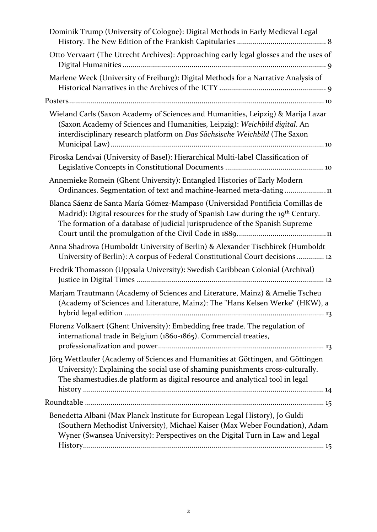| Dominik Trump (University of Cologne): Digital Methods in Early Medieval Legal                                                                                                                                                                                |
|---------------------------------------------------------------------------------------------------------------------------------------------------------------------------------------------------------------------------------------------------------------|
| Otto Vervaart (The Utrecht Archives): Approaching early legal glosses and the uses of                                                                                                                                                                         |
| Marlene Weck (University of Freiburg): Digital Methods for a Narrative Analysis of                                                                                                                                                                            |
|                                                                                                                                                                                                                                                               |
| Wieland Carls (Saxon Academy of Sciences and Humanities, Leipzig) & Marija Lazar<br>(Saxon Academy of Sciences and Humanities, Leipzig): Weichbild digital. An<br>interdisciplinary research platform on Das Sächsische Weichbild (The Saxon                  |
| Piroska Lendvai (University of Basel): Hierarchical Multi-label Classification of                                                                                                                                                                             |
| Annemieke Romein (Ghent University): Entangled Histories of Early Modern<br>Ordinances. Segmentation of text and machine-learned meta-dating11                                                                                                                |
| Blanca Sáenz de Santa María Gómez-Mampaso (Universidad Pontificia Comillas de<br>Madrid): Digital resources for the study of Spanish Law during the 19 <sup>th</sup> Century.<br>The formation of a database of judicial jurisprudence of the Spanish Supreme |
| Anna Shadrova (Humboldt University of Berlin) & Alexander Tischbirek (Humboldt<br>University of Berlin): A corpus of Federal Constitutional Court decisions 12                                                                                                |
| Fredrik Thomasson (Uppsala University): Swedish Caribbean Colonial (Archival)                                                                                                                                                                                 |
| Marjam Trautmann (Academy of Sciences and Literature, Mainz) & Amelie Tscheu<br>(Academy of Sciences and Literature, Mainz): The "Hans Kelsen Werke" (HKW), a                                                                                                 |
| Florenz Volkaert (Ghent University): Embedding free trade. The regulation of<br>international trade in Belgium (1860-1865). Commercial treaties,                                                                                                              |
| Jörg Wettlaufer (Academy of Sciences and Humanities at Göttingen, and Göttingen<br>University): Explaining the social use of shaming punishments cross-culturally.<br>The shamestudies.de platform as digital resource and analytical tool in legal           |
|                                                                                                                                                                                                                                                               |
| Benedetta Albani (Max Planck Institute for European Legal History), Jo Guldi<br>(Southern Methodist University), Michael Kaiser (Max Weber Foundation), Adam<br>Wyner (Swansea University): Perspectives on the Digital Turn in Law and Legal                 |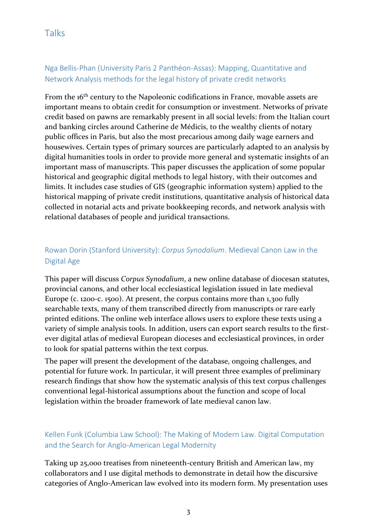#### <span id="page-2-1"></span><span id="page-2-0"></span>Nga Bellis-Phan (University Paris 2 Panthéon-Assas): Mapping, Quantitative and Network Analysis methods for the legal history of private credit networks

From the 16<sup>th</sup> century to the Napoleonic codifications in France, movable assets are important means to obtain credit for consumption or investment. Networks of private credit based on pawns are remarkably present in all social levels: from the Italian court and banking circles around Catherine de Médicis, to the wealthy clients of notary public offices in Paris, but also the most precarious among daily wage earners and housewives. Certain types of primary sources are particularly adapted to an analysis by digital humanities tools in order to provide more general and systematic insights of an important mass of manuscripts. This paper discusses the application of some popular historical and geographic digital methods to legal history, with their outcomes and limits. It includes case studies of GIS (geographic information system) applied to the historical mapping of private credit institutions, quantitative analysis of historical data collected in notarial acts and private bookkeeping records, and network analysis with relational databases of people and juridical transactions.

## <span id="page-2-2"></span>Rowan Dorin (Stanford University): *Corpus Synodalium*. Medieval Canon Law in the Digital Age

This paper will discuss *Corpus Synodalium*, a new online database of diocesan statutes, provincial canons, and other local ecclesiastical legislation issued in late medieval Europe (c. 1200-c. 1500). At present, the corpus contains more than 1,300 fully searchable texts, many of them transcribed directly from manuscripts or rare early printed editions. The online web interface allows users to explore these texts using a variety of simple analysis tools. In addition, users can export search results to the firstever digital atlas of medieval European dioceses and ecclesiastical provinces, in order to look for spatial patterns within the text corpus.

The paper will present the development of the database, ongoing challenges, and potential for future work. In particular, it will present three examples of preliminary research findings that show how the systematic analysis of this text corpus challenges conventional legal-historical assumptions about the function and scope of local legislation within the broader framework of late medieval canon law.

#### <span id="page-2-3"></span>Kellen Funk (Columbia Law School): The Making of Modern Law. Digital Computation and the Search for Anglo-American Legal Modernity

Taking up 25,000 treatises from nineteenth-century British and American law, my collaborators and I use digital methods to demonstrate in detail how the discursive categories of Anglo-American law evolved into its modern form. My presentation uses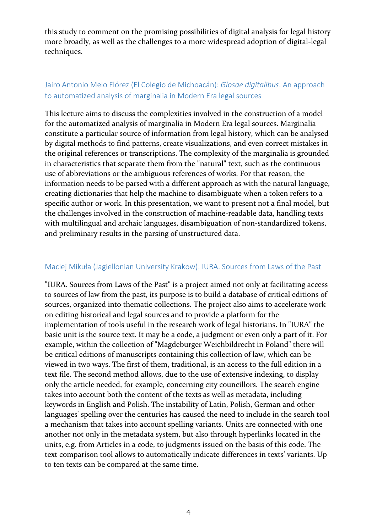this study to comment on the promising possibilities of digital analysis for legal history more broadly, as well as the challenges to a more widespread adoption of digital-legal techniques.

#### <span id="page-3-0"></span>Jairo Antonio Melo Flórez (El Colegio de Michoacán): *Glosae digitalibus*. An approach to automatized analysis of marginalia in Modern Era legal sources

This lecture aims to discuss the complexities involved in the construction of a model for the automatized analysis of marginalia in Modern Era legal sources. Marginalia constitute a particular source of information from legal history, which can be analysed by digital methods to find patterns, create visualizations, and even correct mistakes in the original references or transcriptions. The complexity of the marginalia is grounded in characteristics that separate them from the "natural" text, such as the continuous use of abbreviations or the ambiguous references of works. For that reason, the information needs to be parsed with a different approach as with the natural language, creating dictionaries that help the machine to disambiguate when a token refers to a specific author or work. In this presentation, we want to present not a final model, but the challenges involved in the construction of machine-readable data, handling texts with multilingual and archaic languages, disambiguation of non-standardized tokens, and preliminary results in the parsing of unstructured data.

#### <span id="page-3-1"></span>Maciej Mikuła (Jagiellonian University Krakow): IURA. Sources from Laws of the Past

"IURA. Sources from Laws of the Past" is a project aimed not only at facilitating access to sources of law from the past, its purpose is to build a database of critical editions of sources, organized into thematic collections. The project also aims to accelerate work on editing historical and legal sources and to provide a platform for the implementation of tools useful in the research work of legal historians. In "IURA" the basic unit is the source text. It may be a code, a judgment or even only a part of it. For example, within the collection of "Magdeburger Weichbildrecht in Poland" there will be critical editions of manuscripts containing this collection of law, which can be viewed in two ways. The first of them, traditional, is an access to the full edition in a text file. The second method allows, due to the use of extensive indexing, to display only the article needed, for example, concerning city councillors. The search engine takes into account both the content of the texts as well as metadata, including keywords in English and Polish. The instability of Latin, Polish, German and other languages' spelling over the centuries has caused the need to include in the search tool a mechanism that takes into account spelling variants. Units are connected with one another not only in the metadata system, but also through hyperlinks located in the units, e.g. from Articles in a code, to judgments issued on the basis of this code. The text comparison tool allows to automatically indicate differences in texts' variants. Up to ten texts can be compared at the same time.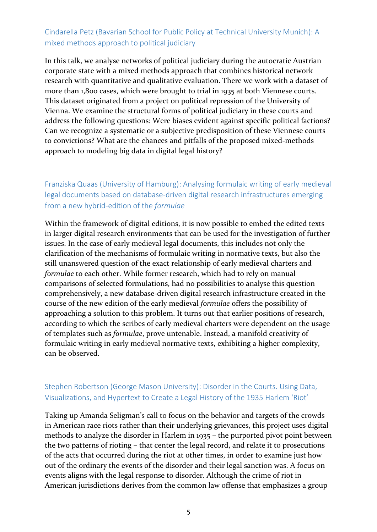#### <span id="page-4-0"></span>Cindarella Petz (Bavarian School for Public Policy at Technical University Munich): A mixed methods approach to political judiciary

In this talk, we analyse networks of political judiciary during the autocratic Austrian corporate state with a mixed methods approach that combines historical network research with quantitative and qualitative evaluation. There we work with a dataset of more than 1,800 cases, which were brought to trial in 1935 at both Viennese courts. This dataset originated from a project on political repression of the University of Vienna. We examine the structural forms of political judiciary in these courts and address the following questions: Were biases evident against specific political factions? Can we recognize a systematic or a subjective predisposition of these Viennese courts to convictions? What are the chances and pitfalls of the proposed mixed-methods approach to modeling big data in digital legal history?

#### <span id="page-4-1"></span>Franziska Quaas (University of Hamburg): Analysing formulaic writing of early medieval legal documents based on database-driven digital research infrastructures emerging from a new hybrid-edition of the *formulae*

Within the framework of digital editions, it is now possible to embed the edited texts in larger digital research environments that can be used for the investigation of further issues. In the case of early medieval legal documents, this includes not only the clarification of the mechanisms of formulaic writing in normative texts, but also the still unanswered question of the exact relationship of early medieval charters and *formulae* to each other. While former research, which had to rely on manual comparisons of selected formulations, had no possibilities to analyse this question comprehensively, a new database-driven digital research infrastructure created in the course of the new edition of the early medieval *formulae* offers the possibility of approaching a solution to this problem. It turns out that earlier positions of research, according to which the scribes of early medieval charters were dependent on the usage of templates such as *formulae*, prove untenable. Instead, a manifold creativity of formulaic writing in early medieval normative texts, exhibiting a higher complexity, can be observed.

#### <span id="page-4-2"></span>Stephen Robertson (George Mason University): Disorder in the Courts. Using Data, Visualizations, and Hypertext to Create a Legal History of the 1935 Harlem 'Riot'

Taking up Amanda Seligman's call to focus on the behavior and targets of the crowds in American race riots rather than their underlying grievances, this project uses digital methods to analyze the disorder in Harlem in 1935 – the purported pivot point between the two patterns of rioting – that center the legal record, and relate it to prosecutions of the acts that occurred during the riot at other times, in order to examine just how out of the ordinary the events of the disorder and their legal sanction was. A focus on events aligns with the legal response to disorder. Although the crime of riot in American jurisdictions derives from the common law offense that emphasizes a group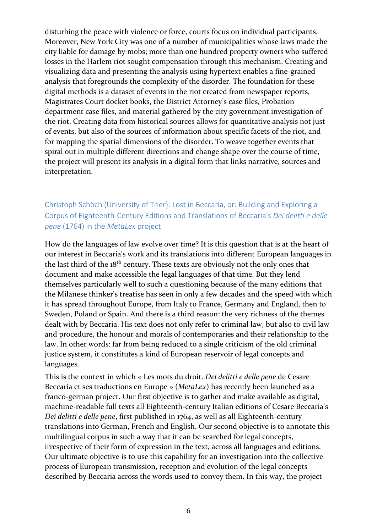disturbing the peace with violence or force, courts focus on individual participants. Moreover, New York City was one of a number of municipalities whose laws made the city liable for damage by mobs; more than one hundred property owners who suffered losses in the Harlem riot sought compensation through this mechanism. Creating and visualizing data and presenting the analysis using hypertext enables a fine-grained analysis that foregrounds the complexity of the disorder. The foundation for these digital methods is a dataset of events in the riot created from newspaper reports, Magistrates Court docket books, the District Attorney's case files, Probation department case files, and material gathered by the city government investigation of the riot. Creating data from historical sources allows for quantitative analysis not just of events, but also of the sources of information about specific facets of the riot, and for mapping the spatial dimensions of the disorder. To weave together events that spiral out in multiple different directions and change shape over the course of time, the project will present its analysis in a digital form that links narrative, sources and interpretation.

#### <span id="page-5-0"></span>Christoph Schöch (University of Trier): Lost in Beccaria, or: Building and Exploring a Corpus of Eighteenth-Century Editions and Translations of Beccaria's *Dei delitti e delle pene* (1764) in the *MetaLex* project

How do the languages of law evolve over time? It is this question that is at the heart of our interest in Beccaria's work and its translations into different European languages in the last third of the 18<sup>th</sup> century. These texts are obviously not the only ones that document and make accessible the legal languages of that time. But they lend themselves particularly well to such a questioning because of the many editions that the Milanese thinker's treatise has seen in only a few decades and the speed with which it has spread throughout Europe, from Italy to France, Germany and England, then to Sweden, Poland or Spain. And there is a third reason: the very richness of the themes dealt with by Beccaria. His text does not only refer to criminal law, but also to civil law and procedure, the honour and morals of contemporaries and their relationship to the law. In other words: far from being reduced to a single criticism of the old criminal justice system, it constitutes a kind of European reservoir of legal concepts and languages.

This is the context in which « Les mots du droit. *Dei delitti e delle pene* de Cesare Beccaria et ses traductions en Europe » (*MetaLex*) has recently been launched as a franco-german project. Our first objective is to gather and make available as digital, machine-readable full texts all Eighteenth-century Italian editions of Cesare Beccaria's *Dei delitti e delle pene*, first published in 1764, as well as all Eighteenth-century translations into German, French and English. Our second objective is to annotate this multilingual corpus in such a way that it can be searched for legal concepts, irrespective of their form of expression in the text, across all languages and editions. Our ultimate objective is to use this capability for an investigation into the collective process of European transmission, reception and evolution of the legal concepts described by Beccaria across the words used to convey them. In this way, the project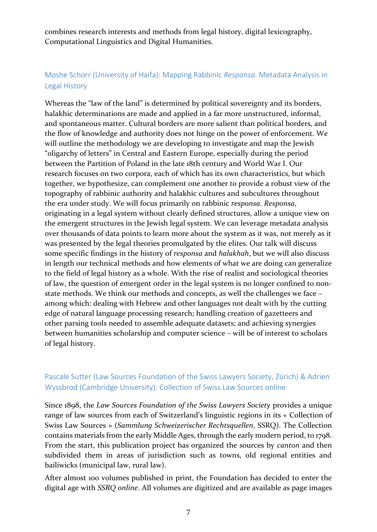combines research interests and methods from legal history, digital lexicography, Computational Linguistics and Digital Humanities.

#### <span id="page-6-0"></span>Moshe Schorr (University of Haifa): Mapping Rabbinic *Responsa*. Metadata Analysis in Legal History

Whereas the "law of the land" is determined by political sovereignty and its borders, halakhic determinations are made and applied in a far more unstructured, informal, and spontaneous matter. Cultural borders are more salient than political borders, and the flow of knowledge and authority does not hinge on the power of enforcement. We will outline the methodology we are developing to investigate and map the Jewish "oligarchy of letters" in Central and Eastern Europe, especially during the period between the Partition of Poland in the late 18th century and World War I. Our research focuses on two corpora, each of which has its own characteristics, but which together, we hypothesize, can complement one another to provide a robust view of the topography of rabbinic authority and halakhic cultures and subcultures throughout the era under study. We will focus primarily on rabbinic *responsa*. *Responsa*, originating in a legal system without clearly defined structures, allow a unique view on the emergent structures in the Jewish legal system. We can leverage metadata analysis over thousands of data points to learn more about the system as it was, not merely as it was presented by the legal theories promulgated by the elites. Our talk will discuss some specific findings in the history of *responsa* and *halakhah*, but we will also discuss in length our technical methods and how elements of what we are doing can generalize to the field of legal history as a whole. With the rise of realist and sociological theories of law, the question of emergent order in the legal system is no longer confined to nonstate methods. We think our methods and concepts, as well the challenges we face – among which: dealing with Hebrew and other languages not dealt with by the cutting edge of natural language processing research; handling creation of gazetteers and other parsing tools needed to assemble adequate datasets; and achieving synergies between humanities scholarship and computer science – will be of interest to scholars of legal history.

#### <span id="page-6-1"></span>Pascale Sutter (Law Sources Foundation of the Swiss Lawyers Society, Zürich) & Adrien Wyssbrod (Cambridge University): Collection of Swiss Law Sources online

Since 1898, the *Law Sources Foundation of the Swiss Lawyers Society* provides a unique range of law sources from each of Switzerland's linguistic regions in its « Collection of Swiss Law Sources » (*Sammlung Schweizerischer Rechtsquellen*, SSRQ). The Collection contains materials from the early Middle Ages, through the early modern period, to 1798. From the start, this publication project has organized the sources by *canton* and then subdivided them in areas of jurisdiction such as towns, old regional entities and bailiwicks (municipal law, rural law).

After almost 100 volumes published in print, the Foundation has decided to enter the digital age with *SSRQ online*. All volumes are digitized and are available as page images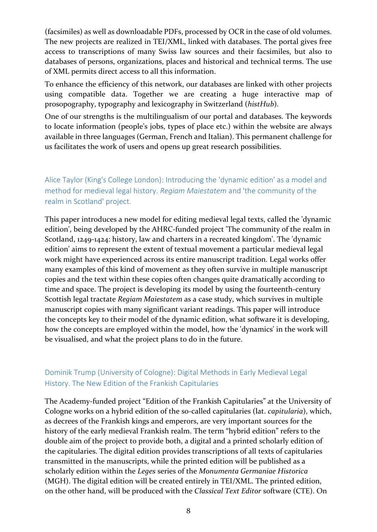(facsimiles) as well as downloadable PDFs, processed by OCR in the case of old volumes. The new projects are realized in TEI/XML, linked with databases. The portal gives free access to transcriptions of many Swiss law sources and their facsimiles, but also to databases of persons, organizations, places and historical and technical terms. The use of XML permits direct access to all this information.

To enhance the efficiency of this network, our databases are linked with other projects using compatible data. Together we are creating a huge interactive map of prosopography, typography and lexicography in Switzerland (*histHub*).

One of our strengths is the multilingualism of our portal and databases. The keywords to locate information (people's jobs, types of place etc.) within the website are always available in three languages (German, French and Italian). This permanent challenge for us facilitates the work of users and opens up great research possibilities.

<span id="page-7-0"></span>Alice Taylor (King's College London): Introducing the 'dynamic edition' as a model and method for medieval legal history. *Regiam Maiestatem* and 'the community of the realm in Scotland' project.

This paper introduces a new model for editing medieval legal texts, called the 'dynamic edition', being developed by the AHRC-funded project 'The community of the realm in Scotland, 1249-1424: history, law and charters in a recreated kingdom'. The 'dynamic edition' aims to represent the extent of textual movement a particular medieval legal work might have experienced across its entire manuscript tradition. Legal works offer many examples of this kind of movement as they often survive in multiple manuscript copies and the text within these copies often changes quite dramatically according to time and space. The project is developing its model by using the fourteenth-century Scottish legal tractate *Regiam Maiestatem* as a case study, which survives in multiple manuscript copies with many significant variant readings. This paper will introduce the concepts key to their model of the dynamic edition, what software it is developing, how the concepts are employed within the model, how the 'dynamics' in the work will be visualised, and what the project plans to do in the future.

#### <span id="page-7-1"></span>Dominik Trump (University of Cologne): Digital Methods in Early Medieval Legal History. The New Edition of the Frankish Capitularies

The Academy-funded project "Edition of the Frankish Capitularies" at the University of Cologne works on a hybrid edition of the so-called capitularies (lat. *capitularia*), which, as decrees of the Frankish kings and emperors, are very important sources for the history of the early medieval Frankish realm. The term "hybrid edition" refers to the double aim of the project to provide both, a digital and a printed scholarly edition of the capitularies. The digital edition provides transcriptions of all texts of capitularies transmitted in the manuscripts, while the printed edition will be published as a scholarly edition within the *Leges* series of the *Monumenta Germaniae Historica* (MGH). The digital edition will be created entirely in TEI/XML. The printed edition, on the other hand, will be produced with the *Classical Text Editor* software (CTE). On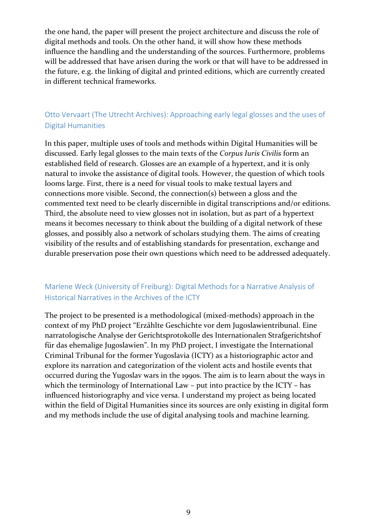the one hand, the paper will present the project architecture and discuss the role of digital methods and tools. On the other hand, it will show how these methods influence the handling and the understanding of the sources. Furthermore, problems will be addressed that have arisen during the work or that will have to be addressed in the future, e.g. the linking of digital and printed editions, which are currently created in different technical frameworks.

#### <span id="page-8-0"></span>Otto Vervaart (The Utrecht Archives): Approaching early legal glosses and the uses of Digital Humanities

In this paper, multiple uses of tools and methods within Digital Humanities will be discussed. Early legal glosses to the main texts of the *Corpus Iuris Civilis* form an established field of research. Glosses are an example of a hypertext, and it is only natural to invoke the assistance of digital tools. However, the question of which tools looms large. First, there is a need for visual tools to make textual layers and connections more visible. Second, the connection(s) between a gloss and the commented text need to be clearly discernible in digital transcriptions and/or editions. Third, the absolute need to view glosses not in isolation, but as part of a hypertext means it becomes necessary to think about the building of a digital network of these glosses, and possibly also a network of scholars studying them. The aims of creating visibility of the results and of establishing standards for presentation, exchange and durable preservation pose their own questions which need to be addressed adequately.

#### <span id="page-8-1"></span>Marlene Weck (University of Freiburg): Digital Methods for a Narrative Analysis of Historical Narratives in the Archives of the ICTY

The project to be presented is a methodological (mixed-methods) approach in the context of my PhD project "Erzählte Geschichte vor dem Jugoslawientribunal. Eine narratologische Analyse der Gerichtsprotokolle des Internationalen Strafgerichtshof für das ehemalige Jugoslawien". In my PhD project, I investigate the International Criminal Tribunal for the former Yugoslavia (ICTY) as a historiographic actor and explore its narration and categorization of the violent acts and hostile events that occurred during the Yugoslav wars in the 1990s. The aim is to learn about the ways in which the terminology of International Law – put into practice by the ICTY – has influenced historiography and vice versa. I understand my project as being located within the field of Digital Humanities since its sources are only existing in digital form and my methods include the use of digital analysing tools and machine learning.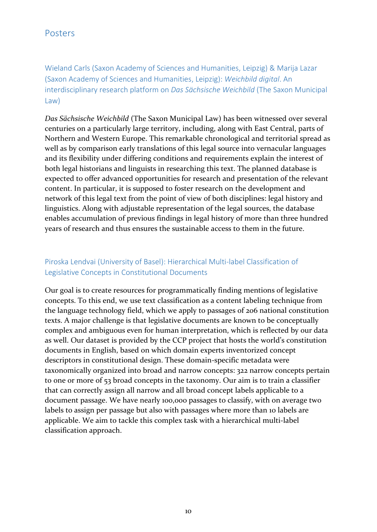<span id="page-9-1"></span><span id="page-9-0"></span>Wieland Carls (Saxon Academy of Sciences and Humanities, Leipzig) & Marija Lazar (Saxon Academy of Sciences and Humanities, Leipzig): *Weichbild digital*. An interdisciplinary research platform on *Das Sächsische Weichbild* (The Saxon Municipal Law)

*Das Sächsische Weichbild* (The Saxon Municipal Law) has been witnessed over several centuries on a particularly large territory, including, along with East Central, parts of Northern and Western Europe. This remarkable chronological and territorial spread as well as by comparison early translations of this legal source into vernacular languages and its flexibility under differing conditions and requirements explain the interest of both legal historians and linguists in researching this text. The planned database is expected to offer advanced opportunities for research and presentation of the relevant content. In particular, it is supposed to foster research on the development and network of this legal text from the point of view of both disciplines: legal history and linguistics. Along with adjustable representation of the legal sources, the database enables accumulation of previous findings in legal history of more than three hundred years of research and thus ensures the sustainable access to them in the future.

#### <span id="page-9-2"></span>Piroska Lendvai (University of Basel): Hierarchical Multi-label Classification of Legislative Concepts in Constitutional Documents

Our goal is to create resources for programmatically finding mentions of legislative concepts. To this end, we use text classification as a content labeling technique from the language technology field, which we apply to passages of 206 national constitution texts. A major challenge is that legislative documents are known to be conceptually complex and ambiguous even for human interpretation, which is reflected by our data as well. Our dataset is provided by the CCP project that hosts the world's constitution documents in English, based on which domain experts inventorized concept descriptors in constitutional design. These domain-specific metadata were taxonomically organized into broad and narrow concepts: 322 narrow concepts pertain to one or more of 53 broad concepts in the taxonomy. Our aim is to train a classifier that can correctly assign all narrow and all broad concept labels applicable to a document passage. We have nearly 100,000 passages to classify, with on average two labels to assign per passage but also with passages where more than 10 labels are applicable. We aim to tackle this complex task with a hierarchical multi-label classification approach.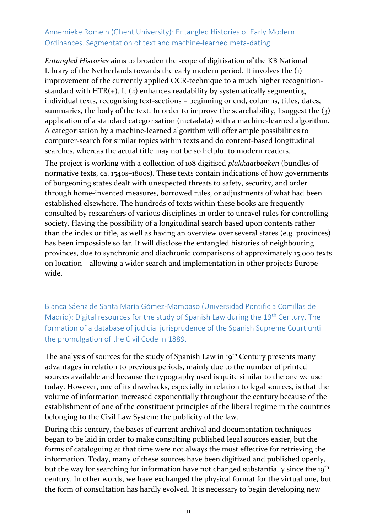#### <span id="page-10-0"></span>Annemieke Romein (Ghent University): Entangled Histories of Early Modern Ordinances. Segmentation of text and machine-learned meta-dating

*Entangled Histories* aims to broaden the scope of digitisation of the KB National Library of the Netherlands towards the early modern period. It involves the (1) improvement of the currently applied OCR-technique to a much higher recognitionstandard with HTR( $+$ ). It ( $2$ ) enhances readability by systematically segmenting individual texts, recognising text-sections – beginning or end, columns, titles, dates, summaries, the body of the text. In order to improve the searchability, I suggest the (3) application of a standard categorisation (metadata) with a machine-learned algorithm. A categorisation by a machine-learned algorithm will offer ample possibilities to computer-search for similar topics within texts and do content-based longitudinal searches, whereas the actual title may not be so helpful to modern readers.

The project is working with a collection of 108 digitised *plakkaatboeken* (bundles of normative texts, ca. 1540s–1800s). These texts contain indications of how governments of burgeoning states dealt with unexpected threats to safety, security, and order through home-invented measures, borrowed rules, or adjustments of what had been established elsewhere. The hundreds of texts within these books are frequently consulted by researchers of various disciplines in order to unravel rules for controlling society. Having the possibility of a longitudinal search based upon contents rather than the index or title, as well as having an overview over several states (e.g. provinces) has been impossible so far. It will disclose the entangled histories of neighbouring provinces, due to synchronic and diachronic comparisons of approximately 15,000 texts on location – allowing a wider search and implementation in other projects Europewide.

<span id="page-10-1"></span>Blanca Sáenz de Santa María Gómez-Mampaso (Universidad Pontificia Comillas de Madrid): Digital resources for the study of Spanish Law during the 19<sup>th</sup> Century. The formation of a database of judicial jurisprudence of the Spanish Supreme Court until the promulgation of the Civil Code in 1889.

The analysis of sources for the study of Spanish Law in 19<sup>th</sup> Century presents many advantages in relation to previous periods, mainly due to the number of printed sources available and because the typography used is quite similar to the one we use today. However, one of its drawbacks, especially in relation to legal sources, is that the volume of information increased exponentially throughout the century because of the establishment of one of the constituent principles of the liberal regime in the countries belonging to the Civil Law System: the publicity of the law.

During this century, the bases of current archival and documentation techniques began to be laid in order to make consulting published legal sources easier, but the forms of cataloguing at that time were not always the most effective for retrieving the information. Today, many of these sources have been digitized and published openly, but the way for searching for information have not changed substantially since the 19<sup>th</sup> century. In other words, we have exchanged the physical format for the virtual one, but the form of consultation has hardly evolved. It is necessary to begin developing new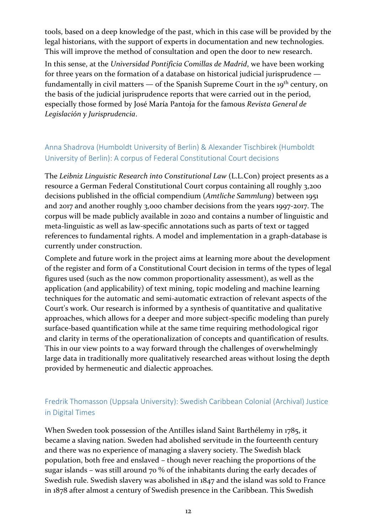tools, based on a deep knowledge of the past, which in this case will be provided by the legal historians, with the support of experts in documentation and new technologies. This will improve the method of consultation and open the door to new research.

In this sense, at the *Universidad Pontificia Comillas de Madrid*, we have been working for three years on the formation of a database on historical judicial jurisprudence fundamentally in civil matters  $-$  of the Spanish Supreme Court in the 19<sup>th</sup> century, on the basis of the judicial jurisprudence reports that were carried out in the period, especially those formed by José María Pantoja for the famous *Revista General de Legislación y Jurisprudencia*.

#### <span id="page-11-0"></span>Anna Shadrova (Humboldt University of Berlin) & Alexander Tischbirek (Humboldt University of Berlin): A corpus of Federal Constitutional Court decisions

The *Leibniz Linguistic Research into Constitutional Law* (L.L.Con) project presents as a resource a German Federal Constitutional Court corpus containing all roughly 3,200 decisions published in the official compendium (*Amtliche Sammlung*) between 1951 and 2017 and another roughly 3,000 chamber decisions from the years 1997-2017. The corpus will be made publicly available in 2020 and contains a number of linguistic and meta-linguistic as well as law-specific annotations such as parts of text or tagged references to fundamental rights. A model and implementation in a graph-database is currently under construction.

Complete and future work in the project aims at learning more about the development of the register and form of a Constitutional Court decision in terms of the types of legal figures used (such as the now common proportionality assessment), as well as the application (and applicability) of text mining, topic modeling and machine learning techniques for the automatic and semi-automatic extraction of relevant aspects of the Court's work. Our research is informed by a synthesis of quantitative and qualitative approaches, which allows for a deeper and more subject-specific modeling than purely surface-based quantification while at the same time requiring methodological rigor and clarity in terms of the operationalization of concepts and quantification of results. This in our view points to a way forward through the challenges of overwhelmingly large data in traditionally more qualitatively researched areas without losing the depth provided by hermeneutic and dialectic approaches.

#### <span id="page-11-1"></span>Fredrik Thomasson (Uppsala University): Swedish Caribbean Colonial (Archival) Justice in Digital Times

When Sweden took possession of the Antilles island Saint Barthélemy in 1785, it became a slaving nation. Sweden had abolished servitude in the fourteenth century and there was no experience of managing a slavery society. The Swedish black population, both free and enslaved – though never reaching the proportions of the sugar islands – was still around 70 % of the inhabitants during the early decades of Swedish rule. Swedish slavery was abolished in 1847 and the island was sold to France in 1878 after almost a century of Swedish presence in the Caribbean. This Swedish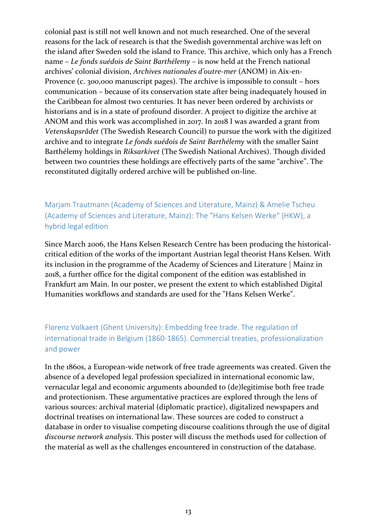colonial past is still not well known and not much researched. One of the several reasons for the lack of research is that the Swedish governmental archive was left on the island after Sweden sold the island to France. This archive, which only has a French name – *Le fonds suédois de Saint Barthélemy* – is now held at the French national archives' colonial division, *Archives nationales d'outre-mer* (ANOM) in Aix-en-Provence (c. 300,000 manuscript pages). The archive is impossible to consult – hors communication – because of its conservation state after being inadequately housed in the Caribbean for almost two centuries. It has never been ordered by archivists or historians and is in a state of profound disorder. A project to digitize the archive at ANOM and this work was accomplished in 2017. In 2018 I was awarded a grant from *Vetenskapsrådet* (The Swedish Research Council) to pursue the work with the digitized archive and to integrate *Le fonds suédois de Saint Barthélemy* with the smaller Saint Barthélemy holdings in *Riksarkivet* (The Swedish National Archives). Though divided between two countries these holdings are effectively parts of the same "archive". The reconstituted digitally ordered archive will be published on-line.

<span id="page-12-0"></span>Marjam Trautmann (Academy of Sciences and Literature, Mainz) & Amelie Tscheu (Academy of Sciences and Literature, Mainz): The "Hans Kelsen Werke" (HKW), a hybrid legal edition

Since March 2006, the Hans Kelsen Research Centre has been producing the historicalcritical edition of the works of the important Austrian legal theorist Hans Kelsen. With its inclusion in the programme of the Academy of Sciences and Literature | Mainz in 2018, a further office for the digital component of the edition was established in Frankfurt am Main. In our poster, we present the extent to which established Digital Humanities workflows and standards are used for the "Hans Kelsen Werke".

### <span id="page-12-1"></span>Florenz Volkaert (Ghent University): Embedding free trade. The regulation of international trade in Belgium (1860-1865). Commercial treaties, professionalization and power

In the 1860s, a European-wide network of free trade agreements was created. Given the absence of a developed legal profession specialized in international economic law, vernacular legal and economic arguments abounded to (de)legitimise both free trade and protectionism. These argumentative practices are explored through the lens of various sources: archival material (diplomatic practice), digitalized newspapers and doctrinal treatises on international law. These sources are coded to construct a database in order to visualise competing discourse coalitions through the use of digital *discourse network analysis*. This poster will discuss the methods used for collection of the material as well as the challenges encountered in construction of the database.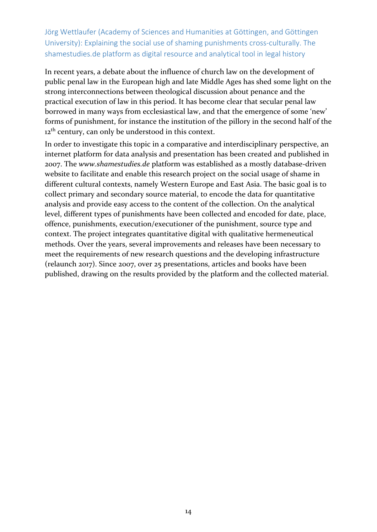<span id="page-13-0"></span>Jörg Wettlaufer (Academy of Sciences and Humanities at Göttingen, and Göttingen University): Explaining the social use of shaming punishments cross-culturally. The shamestudies.de platform as digital resource and analytical tool in legal history

In recent years, a debate about the influence of church law on the development of public penal law in the European high and late Middle Ages has shed some light on the strong interconnections between theological discussion about penance and the practical execution of law in this period. It has become clear that secular penal law borrowed in many ways from ecclesiastical law, and that the emergence of some 'new' forms of punishment, for instance the institution of the pillory in the second half of the 12<sup>th</sup> century, can only be understood in this context.

In order to investigate this topic in a comparative and interdisciplinary perspective, an internet platform for data analysis and presentation has been created and published in 2007. The *www.shamestudies.de* platform was established as a mostly database-driven website to facilitate and enable this research project on the social usage of shame in different cultural contexts, namely Western Europe and East Asia. The basic goal is to collect primary and secondary source material, to encode the data for quantitative analysis and provide easy access to the content of the collection. On the analytical level, different types of punishments have been collected and encoded for date, place, offence, punishments, execution/executioner of the punishment, source type and context. The project integrates quantitative digital with qualitative hermeneutical methods. Over the years, several improvements and releases have been necessary to meet the requirements of new research questions and the developing infrastructure (relaunch 2017). Since 2007, over 25 presentations, articles and books have been published, drawing on the results provided by the platform and the collected material.